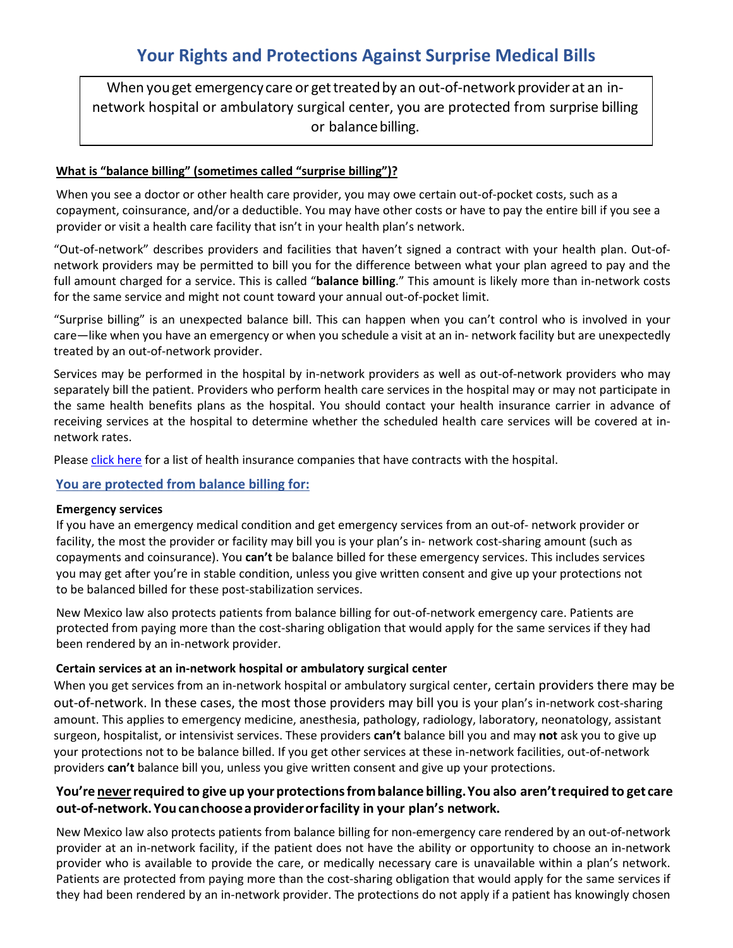When you get emergency care or get treated by an out-of-network provider at an innetwork hospital or ambulatory surgical center, you are protected from surprise billing or balancebilling.

# **What is "balance billing" (sometimes called "surprise billing")?**

When you see a doctor or other health care provider, you may owe certain out-of-pocket costs, such as a copayment, coinsurance, and/or a deductible. You may have other costs or have to pay the entire bill if you see a provider or visit a health care facility that isn't in your health plan's network.

"Out-of-network" describes providers and facilities that haven't signed a contract with your health plan. Out-ofnetwork providers may be permitted to bill you for the difference between what your plan agreed to pay and the full amount charged for a service. This is called "**balance billing**." This amount is likely more than in-network costs for the same service and might not count toward your annual out-of-pocket limit.

"Surprise billing" is an unexpected balance bill. This can happen when you can't control who is involved in your care—like when you have an emergency or when you schedule a visit at an in- network facility but are unexpectedly treated by an out-of-network provider.

Services may be performed in the hospital by in-network providers as well as out-of-network providers who may separately bill the patient. Providers who perform health care services in the hospital may or may not participate in the same health benefits plans as the hospital. You should contact your health insurance carrier in advance of receiving services at the hospital to determine whether the scheduled health care services will be covered at innetwork rates.

Please [click here](https://lovelace.com/insurance) for a list of health insurance companies that have contracts with the hospital.

## **You are protected from balance billing for:**

## **Emergency services**

If you have an emergency medical condition and get emergency services from an out-of- network provider or facility, the most the provider or facility may bill you is your plan's in- network cost-sharing amount (such as copayments and coinsurance). You **can't** be balance billed for these emergency services. This includes services you may get after you're in stable condition, unless you give written consent and give up your protections not to be balanced billed for these post-stabilization services.

New Mexico law also protects patients from balance billing for out-of-network emergency care. Patients are protected from paying more than the cost-sharing obligation that would apply for the same services if they had been rendered by an in-network provider.

## **Certain services at an in-network hospital or ambulatory surgical center**

When you get services from an in-network hospital or ambulatory surgical center, certain providers there may be out-of-network. In these cases, the most those providers may bill you is your plan's in-network cost-sharing amount. This applies to emergency medicine, anesthesia, pathology, radiology, laboratory, neonatology, assistant surgeon, hospitalist, or intensivist services. These providers **can't** balance bill you and may **not** ask you to give up your protections not to be balance billed. If you get other services at these in-network facilities, out-of-network providers **can't** balance bill you, unless you give written consent and give up your protections.

# **You're neverrequired to give up yourprotectionsfrombalance billing.You also aren'trequired to get care out-of-network.Youcanchooseaproviderorfacility in your plan's network.**

New Mexico law also protects patients from balance billing for non-emergency care rendered by an out-of-network provider at an in-network facility, if the patient does not have the ability or opportunity to choose an in-network provider who is available to provide the care, or medically necessary care is unavailable within a plan's network. Patients are protected from paying more than the cost-sharing obligation that would apply for the same services if they had been rendered by an in-network provider. The protections do not apply if a patient has knowingly chosen